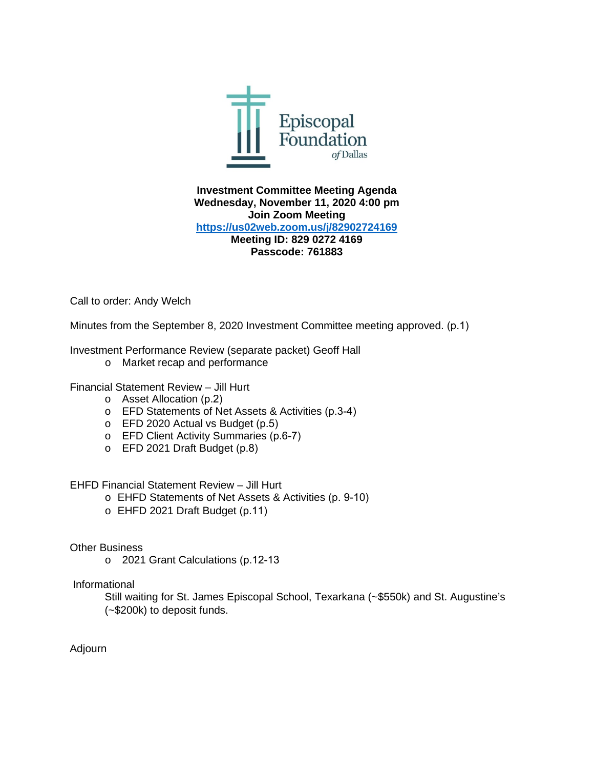

**Investment Committee Meeting Agenda Wednesday, November 11, 2020 4:00 pm Join Zoom Meeting <https://us02web.zoom.us/j/82902724169> Meeting ID: 829 0272 4169 Passcode: 761883**

Call to order: Andy Welch

Minutes from the September 8, 2020 Investment Committee meeting approved. (p.1)

Investment Performance Review (separate packet) Geoff Hall

o Market recap and performance

Financial Statement Review – Jill Hurt

- o Asset Allocation (p.2)
- o EFD Statements of Net Assets & Activities (p.3-4)
- o EFD 2020 Actual vs Budget (p.5)
- o EFD Client Activity Summaries (p.6-7)
- o EFD 2021 Draft Budget (p.8)

EHFD Financial Statement Review – Jill Hurt

- o EHFD Statements of Net Assets & Activities (p. 9-10)
- o EHFD 2021 Draft Budget (p.11)

Other Business

o 2021 Grant Calculations (p.12-13

Informational

Still waiting for St. James Episcopal School, Texarkana (~\$550k) and St. Augustine's (~\$200k) to deposit funds.

Adjourn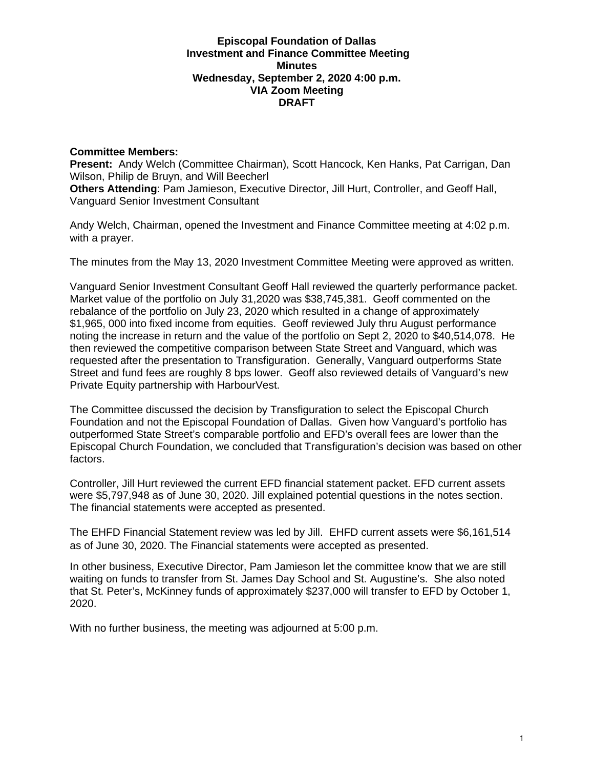#### **Episcopal Foundation of Dallas Investment and Finance Committee Meeting Minutes Wednesday, September 2, 2020 4:00 p.m. VIA Zoom Meeting DRAFT**

### **Committee Members:**

**Present:** Andy Welch (Committee Chairman), Scott Hancock, Ken Hanks, Pat Carrigan, Dan Wilson, Philip de Bruyn, and Will Beecherl **Others Attending**: Pam Jamieson, Executive Director, Jill Hurt, Controller, and Geoff Hall, Vanguard Senior Investment Consultant

Andy Welch, Chairman, opened the Investment and Finance Committee meeting at 4:02 p.m. with a prayer.

The minutes from the May 13, 2020 Investment Committee Meeting were approved as written.

Vanguard Senior Investment Consultant Geoff Hall reviewed the quarterly performance packet. Market value of the portfolio on July 31,2020 was \$38,745,381. Geoff commented on the rebalance of the portfolio on July 23, 2020 which resulted in a change of approximately \$1,965, 000 into fixed income from equities. Geoff reviewed July thru August performance noting the increase in return and the value of the portfolio on Sept 2, 2020 to \$40,514,078. He then reviewed the competitive comparison between State Street and Vanguard, which was requested after the presentation to Transfiguration. Generally, Vanguard outperforms State Street and fund fees are roughly 8 bps lower. Geoff also reviewed details of Vanguard's new Private Equity partnership with HarbourVest.

The Committee discussed the decision by Transfiguration to select the Episcopal Church Foundation and not the Episcopal Foundation of Dallas. Given how Vanguard's portfolio has outperformed State Street's comparable portfolio and EFD's overall fees are lower than the Episcopal Church Foundation, we concluded that Transfiguration's decision was based on other factors.

Controller, Jill Hurt reviewed the current EFD financial statement packet. EFD current assets were \$5,797,948 as of June 30, 2020. Jill explained potential questions in the notes section. The financial statements were accepted as presented.

The EHFD Financial Statement review was led by Jill. EHFD current assets were \$6,161,514 as of June 30, 2020. The Financial statements were accepted as presented.

In other business, Executive Director, Pam Jamieson let the committee know that we are still waiting on funds to transfer from St. James Day School and St. Augustine's. She also noted that St. Peter's, McKinney funds of approximately \$237,000 will transfer to EFD by October 1, 2020.

With no further business, the meeting was adjourned at 5:00 p.m.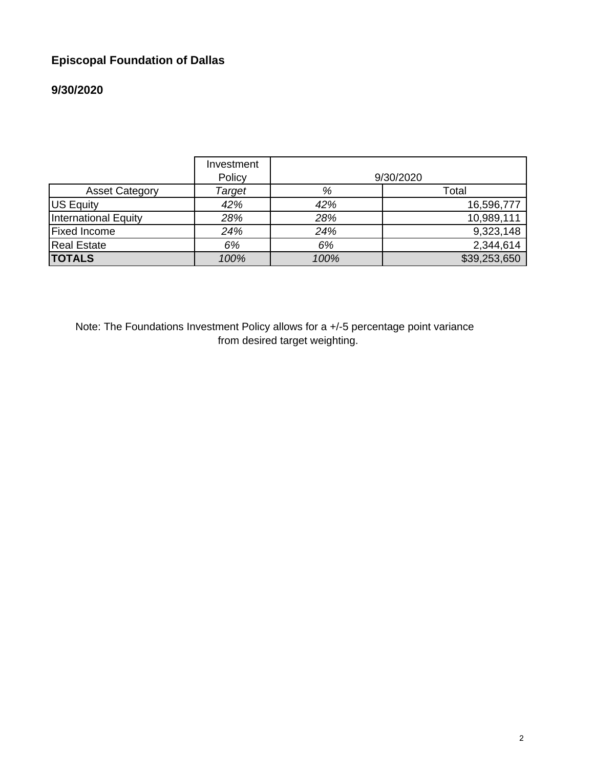# **Episcopal Foundation of Dallas**

# **9/30/2020**

|                       | Investment<br>Policy |      | 9/30/2020    |
|-----------------------|----------------------|------|--------------|
| <b>Asset Category</b> | Target               | %    | Total        |
| US Equity             | 42%                  | 42%  | 16,596,777   |
| International Equity  | 28%                  | 28%  | 10,989,111   |
| <b>Fixed Income</b>   | 24%                  | 24%  | 9,323,148    |
| <b>Real Estate</b>    | 6%                   | 6%   | 2,344,614    |
| <b>TOTALS</b>         | 100%                 | 100% | \$39,253,650 |

Note: The Foundations Investment Policy allows for a +/-5 percentage point variance from desired target weighting.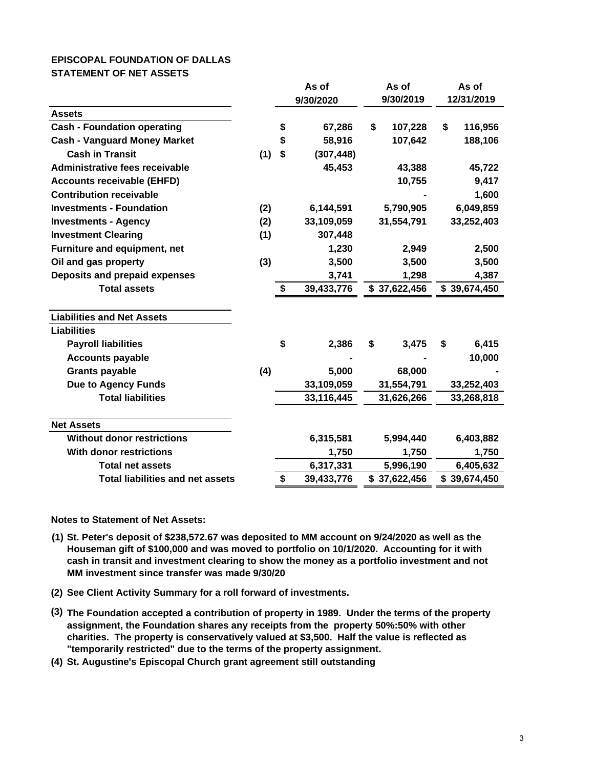#### **EPISCOPAL FOUNDATION OF DALLAS STATEMENT OF NET ASSETS**

|                                         | As of<br>9/30/2020 |    | As of<br>9/30/2019 |    | As of<br>12/31/2019 |    |              |
|-----------------------------------------|--------------------|----|--------------------|----|---------------------|----|--------------|
| <b>Assets</b>                           |                    |    |                    |    |                     |    |              |
| <b>Cash - Foundation operating</b>      |                    | \$ | 67,286             | \$ | 107,228             | \$ | 116,956      |
| <b>Cash - Vanguard Money Market</b>     |                    | \$ | 58,916             |    | 107,642             |    | 188,106      |
| <b>Cash in Transit</b>                  | (1)                | \$ | (307, 448)         |    |                     |    |              |
| Administrative fees receivable          |                    |    | 45,453             |    | 43,388              |    | 45,722       |
| <b>Accounts receivable (EHFD)</b>       |                    |    |                    |    | 10,755              |    | 9,417        |
| <b>Contribution receivable</b>          |                    |    |                    |    |                     |    | 1,600        |
| <b>Investments - Foundation</b>         | (2)                |    | 6,144,591          |    | 5,790,905           |    | 6,049,859    |
| <b>Investments - Agency</b>             | (2)                |    | 33,109,059         |    | 31,554,791          |    | 33,252,403   |
| <b>Investment Clearing</b>              | (1)                |    | 307,448            |    |                     |    |              |
| Furniture and equipment, net            |                    |    | 1,230              |    | 2,949               |    | 2,500        |
| Oil and gas property                    | (3)                |    | 3,500              |    | 3,500               |    | 3,500        |
| Deposits and prepaid expenses           |                    |    | 3,741              |    | 1,298               |    | 4,387        |
| <b>Total assets</b>                     |                    | \$ | 39,433,776         |    | \$37,622,456        |    | \$39,674,450 |
| <b>Liabilities and Net Assets</b>       |                    |    |                    |    |                     |    |              |
| <b>Liabilities</b>                      |                    |    |                    |    |                     |    |              |
| <b>Payroll liabilities</b>              |                    | \$ | 2,386              | \$ | 3,475               | \$ | 6,415        |
| <b>Accounts payable</b>                 |                    |    |                    |    |                     |    | 10,000       |
| <b>Grants payable</b>                   | (4)                |    | 5,000              |    | 68,000              |    |              |
| <b>Due to Agency Funds</b>              |                    |    | 33,109,059         |    | 31,554,791          |    | 33,252,403   |
| <b>Total liabilities</b>                |                    |    | 33,116,445         |    | 31,626,266          |    | 33,268,818   |
| <b>Net Assets</b>                       |                    |    |                    |    |                     |    |              |
| <b>Without donor restrictions</b>       |                    |    | 6,315,581          |    | 5,994,440           |    | 6,403,882    |
| <b>With donor restrictions</b>          |                    |    | 1,750              |    | 1,750               |    | 1,750        |
| <b>Total net assets</b>                 |                    |    | 6,317,331          |    | 5,996,190           |    | 6,405,632    |
| <b>Total liabilities and net assets</b> |                    | \$ | 39,433,776         |    | \$37,622,456        |    | \$39,674,450 |

**Notes to Statement of Net Assets:**

- **(1) St. Peter's deposit of \$238,572.67 was deposited to MM account on 9/24/2020 as well as the Houseman gift of \$100,000 and was moved to portfolio on 10/1/2020. Accounting for it with cash in transit and investment clearing to show the money as a portfolio investment and not MM investment since transfer was made 9/30/20**
- **(2) See Client Activity Summary for a roll forward of investments.**
- **(3) The Foundation accepted a contribution of property in 1989. Under the terms of the property assignment, the Foundation shares any receipts from the property 50%:50% with other charities. The property is conservatively valued at \$3,500. Half the value is reflected as "temporarily restricted" due to the terms of the property assignment.**
- **(4) St. Augustine's Episcopal Church grant agreement still outstanding**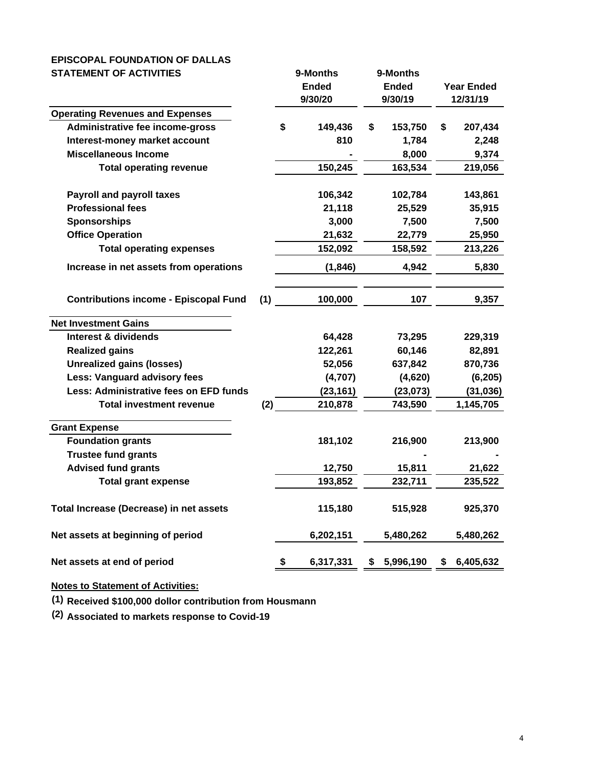#### **EPISCOPAL FOUNDATION OF DALLAS STATEMENT OF ACTIVITIES 9-Months 9-Months**

|                                              |     | טוועווטויי      |               |    |                   |
|----------------------------------------------|-----|-----------------|---------------|----|-------------------|
|                                              |     | <b>Ended</b>    | <b>Ended</b>  |    | <b>Year Ended</b> |
|                                              |     | 9/30/20         | 9/30/19       |    | 12/31/19          |
| <b>Operating Revenues and Expenses</b>       |     |                 |               |    |                   |
| Administrative fee income-gross              |     | \$<br>149,436   | \$<br>153,750 | \$ | 207,434           |
| Interest-money market account                |     | 810             | 1,784         |    | 2,248             |
| <b>Miscellaneous Income</b>                  |     |                 | 8,000         |    | 9,374             |
| <b>Total operating revenue</b>               |     | 150,245         | 163,534       |    | 219,056           |
| <b>Payroll and payroll taxes</b>             |     | 106,342         | 102,784       |    | 143,861           |
| <b>Professional fees</b>                     |     | 21,118          | 25,529        |    | 35,915            |
| <b>Sponsorships</b>                          |     | 3,000           | 7,500         |    | 7,500             |
| <b>Office Operation</b>                      |     | 21,632          | 22,779        |    | 25,950            |
| <b>Total operating expenses</b>              |     | 152,092         | 158,592       |    | 213,226           |
| Increase in net assets from operations       |     | (1, 846)        | 4,942         |    | 5,830             |
|                                              |     |                 |               |    |                   |
| <b>Contributions income - Episcopal Fund</b> | (1) | 100,000         | 107           |    | 9,357             |
| <b>Net Investment Gains</b>                  |     |                 |               |    |                   |
| <b>Interest &amp; dividends</b>              |     | 64,428          | 73,295        |    | 229,319           |
| <b>Realized gains</b>                        |     | 122,261         | 60,146        |    | 82,891            |
| <b>Unrealized gains (losses)</b>             |     | 52,056          | 637,842       |    | 870,736           |
| Less: Vanguard advisory fees                 |     | (4,707)         | (4,620)       |    | (6, 205)          |
| Less: Administrative fees on EFD funds       |     | (23, 161)       | (23, 073)     |    | (31, 036)         |
| <b>Total investment revenue</b>              | (2) | 210,878         | 743,590       |    | 1,145,705         |
| <b>Grant Expense</b>                         |     |                 |               |    |                   |
| <b>Foundation grants</b>                     |     | 181,102         | 216,900       |    | 213,900           |
| <b>Trustee fund grants</b>                   |     |                 |               |    |                   |
| <b>Advised fund grants</b>                   |     | 12,750          | 15,811        |    | 21,622            |
| <b>Total grant expense</b>                   |     | 193,852         | 232,711       |    | 235,522           |
| Total Increase (Decrease) in net assets      |     | 115,180         | 515,928       |    | 925,370           |
| Net assets at beginning of period            |     | 6,202,151       | 5,480,262     |    | 5,480,262         |
| Net assets at end of period                  |     | \$<br>6,317,331 | 5,996,190     | S  | 6,405,632         |
|                                              |     |                 |               |    |                   |

### **Notes to Statement of Activities:**

**(1) Received \$100,000 dollor contribution from Housmann**

**(2) Associated to markets response to Covid-19**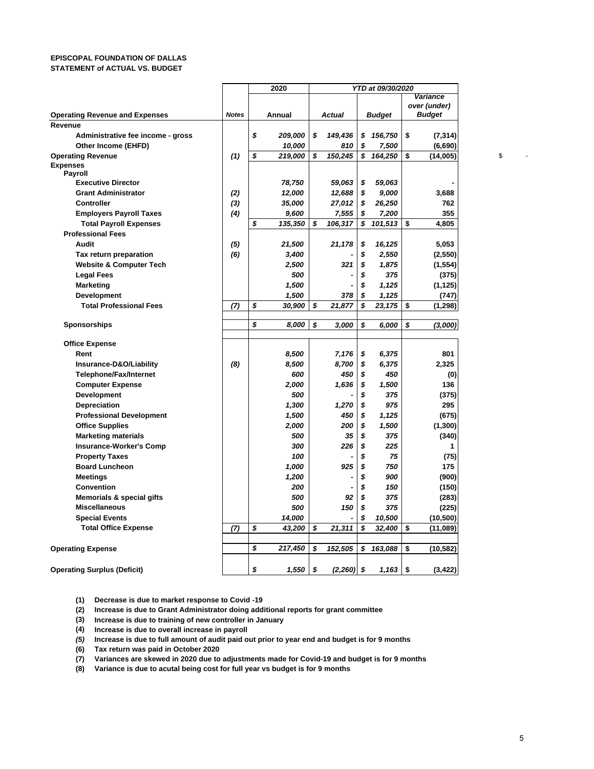#### **EPISCOPAL FOUNDATION OF DALLAS STATEMENT of ACTUAL VS. BUDGET**

|                                       |              | 2020          | YTD at 09/30/2020 |              |    |               |    |               |
|---------------------------------------|--------------|---------------|-------------------|--------------|----|---------------|----|---------------|
|                                       |              |               |                   |              |    |               |    | Variance      |
|                                       |              |               |                   |              |    |               |    | over (under)  |
| <b>Operating Revenue and Expenses</b> | <b>Notes</b> | Annual        |                   | Actual       |    | <b>Budget</b> |    | <b>Budget</b> |
| Revenue                               |              |               |                   |              |    |               |    |               |
| Administrative fee income - gross     |              | \$<br>209,000 | \$                | 149,436      | \$ | 156,750       | \$ | (7, 314)      |
| Other Income (EHFD)                   |              | 10,000        |                   | 810          | \$ | 7,500         |    | (6,690)       |
| <b>Operating Revenue</b>              | (1)          | \$<br>219,000 | \$                | 150,245      | \$ | 164,250       | \$ | (14,005)      |
| <b>Expenses</b>                       |              |               |                   |              |    |               |    |               |
| Payroll<br><b>Executive Director</b>  |              | 78,750        |                   | 59,063       | \$ | 59,063        |    |               |
| <b>Grant Administrator</b>            | (2)          | 12,000        |                   | 12,688       | \$ | 9,000         |    | 3,688         |
| <b>Controller</b>                     | (3)          | 35,000        |                   | 27,012       | \$ | 26,250        |    | 762           |
| <b>Employers Payroll Taxes</b>        | (4)          | 9,600         |                   |              | \$ |               |    | 355           |
|                                       |              | \$            |                   | 7,555        | \$ | 7,200         |    |               |
| <b>Total Payroll Expenses</b>         |              | 135,350       | \$                | 106,317      |    | 101,513       | \$ | 4,805         |
| <b>Professional Fees</b>              |              |               |                   |              |    |               |    |               |
| Audit                                 | (5)          | 21,500        |                   | 21,178       | \$ | 16,125        |    | 5,053         |
| Tax return preparation                | (6)          | 3,400         |                   |              | \$ | 2,550         |    | (2, 550)      |
| <b>Website &amp; Computer Tech</b>    |              | 2,500         |                   | 321          | \$ | 1,875         |    | (1, 554)      |
| <b>Legal Fees</b>                     |              | 500           |                   |              | \$ | 375           |    | (375)         |
| <b>Marketing</b>                      |              | 1,500         |                   |              | \$ | 1,125         |    | (1, 125)      |
| <b>Development</b>                    |              | 1,500         |                   | 378          | \$ | 1,125         |    | (747)         |
| <b>Total Professional Fees</b>        | (7)          | \$<br>30,900  | \$                | 21,877       | \$ | 23,175        | \$ | (1, 298)      |
| <b>Sponsorships</b>                   |              | \$<br>8,000   | \$                | 3,000        | \$ | 6,000         | \$ | (3,000)       |
|                                       |              |               |                   |              |    |               |    |               |
| <b>Office Expense</b>                 |              |               |                   |              |    |               |    |               |
| Rent                                  |              | 8,500         |                   | 7,176        | \$ | 6,375         |    | 801           |
| Insurance-D&O/Liability               | (8)          | 8,500         |                   | 8,700        | \$ | 6,375         |    | 2,325         |
| Telephone/Fax/Internet                |              | 600           |                   | 450          | \$ | 450           |    | (0)           |
| <b>Computer Expense</b>               |              | 2,000         |                   | 1,636        | \$ | 1,500         |    | 136           |
| <b>Development</b>                    |              | 500           |                   |              | \$ | 375           |    | (375)         |
| Depreciation                          |              | 1,300         |                   | 1,270        | \$ | 975           |    | 295           |
| <b>Professional Development</b>       |              | 1,500         |                   | 450          | \$ | 1,125         |    | (675)         |
| <b>Office Supplies</b>                |              | 2,000         |                   | 200          | \$ | 1,500         |    | (1, 300)      |
| <b>Marketing materials</b>            |              | 500           |                   | 35           | \$ | 375           |    | (340)         |
| <b>Insurance-Worker's Comp</b>        |              | 300           |                   | 226          | \$ | 225           |    | 1             |
| <b>Property Taxes</b>                 |              | 100           |                   |              | \$ | 75            |    | (75)          |
| <b>Board Luncheon</b>                 |              | 1,000         |                   | 925          | \$ | 750           |    | 175           |
| <b>Meetings</b>                       |              | 1,200         |                   |              | \$ | 900           |    | (900)         |
| <b>Convention</b>                     |              | 200           |                   |              | \$ | 150           |    | (150)         |
| Memorials & special gifts             |              | 500           |                   | 92           | \$ | 375           |    | (283)         |
| <b>Miscellaneous</b>                  |              | 500           |                   | 150          | \$ | 375           |    | (225)         |
| <b>Special Events</b>                 |              | 14,000        |                   |              | \$ | 10,500        |    | (10, 500)     |
| <b>Total Office Expense</b>           | (7)          | \$<br>43,200  | \$                | 21,311       | \$ | 32,400        | \$ | (11,089)      |
|                                       |              |               |                   |              |    |               |    |               |
| <b>Operating Expense</b>              |              | \$<br>217,450 | \$                | 152,505      | \$ | 163,088       | \$ | (10, 582)     |
|                                       |              |               |                   |              |    |               |    |               |
| <b>Operating Surplus (Deficit)</b>    |              | \$<br>1,550   | \$                | $(2,260)$ \$ |    | $1,163$ \$    |    | (3, 422)      |

**(1) Decrease is due to market response to Covid -19**

**(2) Increase is due to Grant Administrator doing additional reports for grant committee**

**(3) Increase is due to training of new controller in January**

**(4) Increase is due to overall increase in payroll**

*(5)* **Increase is due to full amount of audit paid out prior to year end and budget is for 9 months**

**(6) Tax return was paid in October 2020**

**(7) Variances are skewed in 2020 due to adjustments made for Covid-19 and budget is for 9 months**

**(8) Variance is due to acutal being cost for full year vs budget is for 9 months**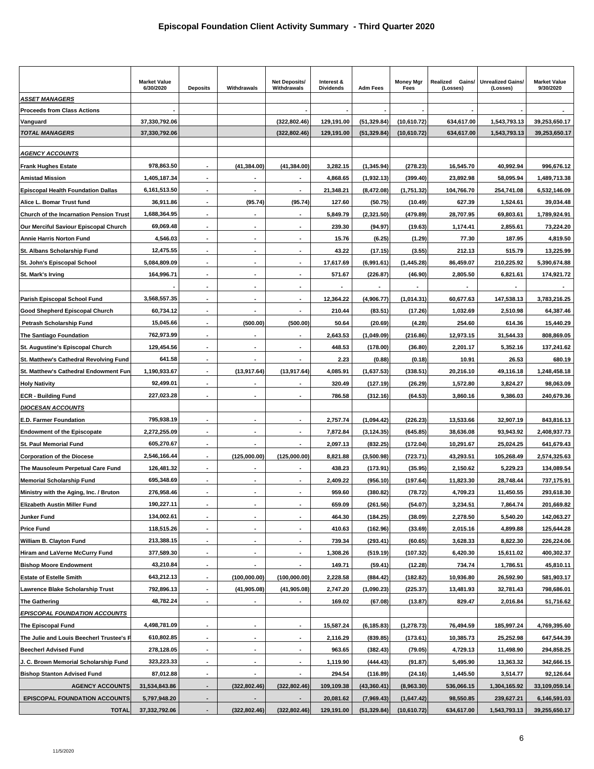|                                                | <b>Market Value</b><br>6/30/2020 | <b>Deposits</b>          | Withdrawals                  | <b>Net Deposits/</b><br>Withdrawals | Interest &<br><b>Dividends</b> | <b>Adm Fees</b> | <b>Money Mgr</b><br>Fees | Realized<br>Gains/<br>(Losses) | <b>Unrealized Gains/</b><br>(Losses) | <b>Market Value</b><br>9/30/2020 |
|------------------------------------------------|----------------------------------|--------------------------|------------------------------|-------------------------------------|--------------------------------|-----------------|--------------------------|--------------------------------|--------------------------------------|----------------------------------|
| <b>ASSET MANAGERS</b>                          |                                  |                          |                              |                                     |                                |                 |                          |                                |                                      |                                  |
| <b>Proceeds from Class Actions</b>             |                                  |                          |                              |                                     |                                |                 |                          |                                |                                      |                                  |
| Vanguard                                       | 37,330,792.06                    |                          |                              | (322, 802.46)                       | 129,191.00                     | (51, 329.84)    | (10,610.72)              | 634,617.00                     | 1,543,793.13                         | 39,253,650.17                    |
| <b>TOTAL MANAGERS</b>                          | 37,330,792.06                    |                          |                              | (322, 802.46)                       | 129,191.00                     | (51, 329.84)    | (10,610.72)              | 634,617.00                     | 1,543,793.13                         | 39,253,650.17                    |
| <b>AGENCY ACCOUNTS</b>                         |                                  |                          |                              |                                     |                                |                 |                          |                                |                                      |                                  |
| <b>Frank Hughes Estate</b>                     | 978,863.50                       | $\blacksquare$           | (41, 384.00)                 | (41, 384.00)                        | 3,282.15                       | (1, 345.94)     | (278.23)                 | 16,545.70                      | 40,992.94                            | 996,676.12                       |
| <b>Amistad Mission</b>                         | 1,405,187.34                     | $\blacksquare$           |                              |                                     | 4,868.65                       | (1,932.13)      | (399.40)                 | 23,892.98                      | 58,095.94                            | 1,489,713.38                     |
| <b>Episcopal Health Foundation Dallas</b>      |                                  | $\blacksquare$           | $\qquad \qquad \blacksquare$ | $\blacksquare$                      |                                |                 |                          |                                |                                      |                                  |
|                                                | 6,161,513.50                     |                          |                              |                                     | 21,348.21                      | (8, 472.08)     | (1,751.32)               | 104,766.70                     | 254,741.08                           | 6,532,146.09                     |
| Alice L. Bomar Trust fund                      | 36,911.86                        |                          | (95.74)                      | (95.74)                             | 127.60                         | (50.75)         | (10.49)                  | 627.39                         | 1,524.61                             | 39,034.48                        |
| <b>Church of the Incarnation Pension Trust</b> | 1,688,364.95                     |                          |                              |                                     | 5,849.79                       | (2,321.50)      | (479.89)                 | 28,707.95                      | 69,803.61                            | 1,789,924.91                     |
| Our Merciful Saviour Episcopal Church          | 69,069.48                        |                          |                              | $\overline{\phantom{a}}$            | 239.30                         | (94.97)         | (19.63)                  | 1,174.41                       | 2,855.61                             | 73,224.20                        |
| <b>Annie Harris Norton Fund</b>                | 4,546.03                         | $\blacksquare$           | ٠                            |                                     | 15.76                          | (6.25)          | (1.29)                   | 77.30                          | 187.95                               | 4,819.50                         |
| St. Albans Scholarship Fund                    | 12,475.55                        | $\blacksquare$           | ٠                            |                                     | 43.22                          | (17.15)         | (3.55)                   | 212.13                         | 515.79                               | 13,225.99                        |
| St. John's Episcopal School                    | 5,084,809.09                     |                          |                              |                                     | 17,617.69                      | (6,991.61)      | (1, 445.28)              | 86,459.07                      | 210,225.92                           | 5,390,674.88                     |
| St. Mark's Irving                              | 164,996.71                       | $\blacksquare$           | ٠                            |                                     | 571.67                         | (226.87)        | (46.90)                  | 2,805.50                       | 6,821.61                             | 174,921.72                       |
|                                                |                                  |                          |                              |                                     |                                |                 |                          |                                |                                      |                                  |
| Parish Episcopal School Fund                   | 3,568,557.35                     |                          |                              |                                     | 12,364.22                      | (4,906.77)      | (1,014.31)               | 60,677.63                      | 147,538.13                           | 3,783,216.25                     |
| Good Shepherd Episcopal Church                 | 60,734.12                        |                          |                              |                                     | 210.44                         | (83.51)         | (17.26)                  | 1,032.69                       | 2,510.98                             | 64,387.46                        |
| <b>Petrash Scholarship Fund</b>                | 15,045.66                        | $\overline{\phantom{a}}$ | (500.00)                     | (500.00)                            | 50.64                          | (20.69)         | (4.28)                   | 254.60                         | 614.36                               | 15,440.29                        |
| <b>The Santiago Foundation</b>                 | 762,973.99                       | $\overline{\phantom{a}}$ | ٠                            |                                     | 2,643.53                       | (1,049.09)      | (216.86)                 | 12,973.15                      | 31,544.33                            | 808,869.05                       |
| St. Augustine's Episcopal Church               | 129,454.56                       | $\overline{\phantom{a}}$ | ٠                            | $\blacksquare$                      | 448.53                         | (178.00)        | (36.80)                  | 2,201.17                       | 5,352.16                             | 137,241.62                       |
| St. Matthew's Cathedral Revolving Fund         | 641.58                           |                          |                              |                                     | 2.23                           | (0.88)          | (0.18)                   | 10.91                          | 26.53                                | 680.19                           |
| St. Matthew's Cathedral Endowment Fur          | 1,190,933.67                     |                          | (13, 917.64)                 | (13,917.64)                         | 4,085.91                       | (1,637.53)      | (338.51)                 | 20,216.10                      | 49,116.18                            | 1,248,458.18                     |
| <b>Holy Nativity</b>                           | 92,499.01                        |                          |                              |                                     | 320.49                         | (127.19)        | (26.29)                  | 1,572.80                       | 3,824.27                             | 98,063.09                        |
| <b>ECR - Building Fund</b>                     | 227,023.28                       |                          | ٠                            |                                     | 786.58                         | (312.16)        | (64.53)                  | 3,860.16                       | 9,386.03                             | 240,679.36                       |
| <b>DIOCESAN ACCOUNTS</b>                       |                                  |                          |                              |                                     |                                |                 |                          |                                |                                      |                                  |
| <b>E.D. Farmer Foundation</b>                  | 795,938.19                       | $\overline{\phantom{a}}$ |                              |                                     | 2,757.74                       | (1,094.42)      | (226.23)                 | 13,533.66                      | 32,907.19                            | 843,816.13                       |
| <b>Endowment of the Episcopate</b>             | 2,272,255.09                     | $\blacksquare$           |                              |                                     | 7,872.84                       | (3, 124.35)     | (645.85)                 | 38,636.08                      | 93,943.92                            | 2,408,937.73                     |
| <b>St. Paul Memorial Fund</b>                  | 605,270.67                       |                          |                              |                                     | 2,097.13                       | (832.25)        | (172.04)                 | 10,291.67                      | 25,024.25                            | 641,679.43                       |
| <b>Corporation of the Diocese</b>              | 2,546,166.44                     |                          | (125,000.00)                 | (125,000.00)                        | 8,821.88                       | (3,500.98)      | (723.71)                 | 43,293.51                      | 105,268.49                           | 2,574,325.63                     |
| The Mausoleum Perpetual Care Fund              | 126,481.32                       |                          |                              |                                     | 438.23                         | (173.91)        | (35.95)                  | 2,150.62                       | 5,229.23                             | 134,089.54                       |
| <b>Memorial Scholarship Fund</b>               | 695,348.69                       | $\blacksquare$           | $\qquad \qquad \blacksquare$ |                                     | 2,409.22                       | (956.10)        | (197.64)                 | 11,823.30                      | 28,748.44                            | 737,175.91                       |
| Ministry with the Aging, Inc. / Bruton         | 276,958.46                       | $\overline{\phantom{a}}$ | ٠                            |                                     | 959.60                         | (380.82)        | (78.72)                  | 4,709.23                       | 11,450.55                            | 293,618.30                       |
| <b>Elizabeth Austin Miller Fund</b>            | 190,227.11                       | $\overline{\phantom{a}}$ | $\overline{\phantom{a}}$     | $\overline{\phantom{a}}$            | 659.09                         | (261.56)        | (54.07)                  | 3,234.51                       | 7,864.74                             | 201,669.82                       |
| Junker Fund                                    | 134,002.61                       | $\blacksquare$           | ٠                            | $\blacksquare$                      | 464.30                         | (184.25)        | (38.09)                  | 2,278.50                       | 5,540.20                             | 142,063.27                       |
| <b>Price Fund</b>                              | 118,515.26                       | $\blacksquare$           | ٠                            | $\blacksquare$                      | 410.63                         | (162.96)        | (33.69)                  | 2,015.16                       | 4,899.88                             | 125,644.28                       |
| William B. Clayton Fund                        | 213,388.15                       |                          |                              |                                     | 739.34                         | (293.41)        | (60.65)                  | 3,628.33                       | 8,822.30                             | 226,224.06                       |
| Hiram and LaVerne McCurry Fund                 | 377,589.30                       | $\blacksquare$           | ٠                            |                                     | 1,308.26                       | (519.19)        | (107.32)                 | 6,420.30                       | 15,611.02                            | 400,302.37                       |
| <b>Bishop Moore Endowment</b>                  | 43,210.84                        | $\overline{\phantom{a}}$ | $\overline{\phantom{a}}$     |                                     | 149.71                         | (59.41)         | (12.28)                  | 734.74                         | 1,786.51                             | 45,810.11                        |
| <b>Estate of Estelle Smith</b>                 | 643,212.13                       | $\overline{\phantom{a}}$ | (100,000.00)                 | (100,000.00)                        | 2,228.58                       | (884.42)        | (182.82)                 | 10,936.80                      | 26,592.90                            | 581,903.17                       |
| awrence Blake Scholarship Trust.               | 792,896.13                       | $\blacksquare$           | (41, 905.08)                 | (41, 905.08)                        | 2,747.20                       | (1,090.23)      | (225.37)                 | 13,481.93                      | 32,781.43                            | 798,686.01                       |
| <b>The Gathering</b>                           | 48,782.24                        |                          |                              |                                     | 169.02                         | (67.08)         | (13.87)                  | 829.47                         | 2,016.84                             | 51,716.62                        |
|                                                |                                  |                          |                              |                                     |                                |                 |                          |                                |                                      |                                  |
| <b>EPISCOPAL FOUNDATION ACCOUNTS</b>           | 4,498,781.09                     |                          |                              |                                     |                                |                 |                          |                                |                                      | 4,769,395.60                     |
| The Episcopal Fund                             |                                  |                          |                              |                                     | 15,587.24                      | (6, 185.83)     | (1, 278.73)              | 76,494.59                      | 185,997.24                           |                                  |
| The Julie and Louis Beecherl Trustee's F       | 610,802.85                       | $\overline{\phantom{a}}$ | ٠                            | $\overline{\phantom{a}}$            | 2,116.29                       | (839.85)        | (173.61)                 | 10,385.73                      | 25,252.98                            | 647,544.39                       |
| <b>Beecherl Advised Fund</b>                   | 278,128.05                       | $\overline{\phantom{a}}$ | $\overline{\phantom{a}}$     | $\blacksquare$                      | 963.65                         | (382.43)        | (79.05)                  | 4,729.13                       | 11,498.90                            | 294,858.25                       |
| J. C. Brown Memorial Scholarship Fund          | 323,223.33                       | $\overline{\phantom{a}}$ | $\qquad \qquad \blacksquare$ | $\blacksquare$                      | 1,119.90                       | (444.43)        | (91.87)                  | 5,495.90                       | 13,363.32                            | 342,666.15                       |
| <b>Bishop Stanton Advised Fund</b>             | 87,012.88                        | $\blacksquare$           | ٠                            | $\blacksquare$                      | 294.54                         | (116.89)        | (24.16)                  | 1,445.50                       | 3,514.77                             | 92,126.64                        |
| <b>AGENCY ACCOUNTS</b>                         | 31,534,843.86                    |                          | (322, 802.46)                | (322, 802.46)                       | 109,109.38                     | (43, 360.41)    | (8,963.30)               | 536,066.15                     | 1,304,165.92                         | 33,109,059.14                    |
| EPISCOPAL FOUNDATION ACCOUNTS                  | 5,797,948.20                     |                          |                              |                                     | 20,081.62                      | (7,969.43)      | (1,647.42)               | 98,550.85                      | 239,627.21                           | 6,146,591.03                     |
| <b>TOTAL</b>                                   | 37,332,792.06                    | $\blacksquare$           | (322, 802.46)                | (322, 802.46)                       | 129,191.00                     | (51, 329.84)    | (10,610.72)              | 634,617.00                     | 1,543,793.13                         | 39,255,650.17                    |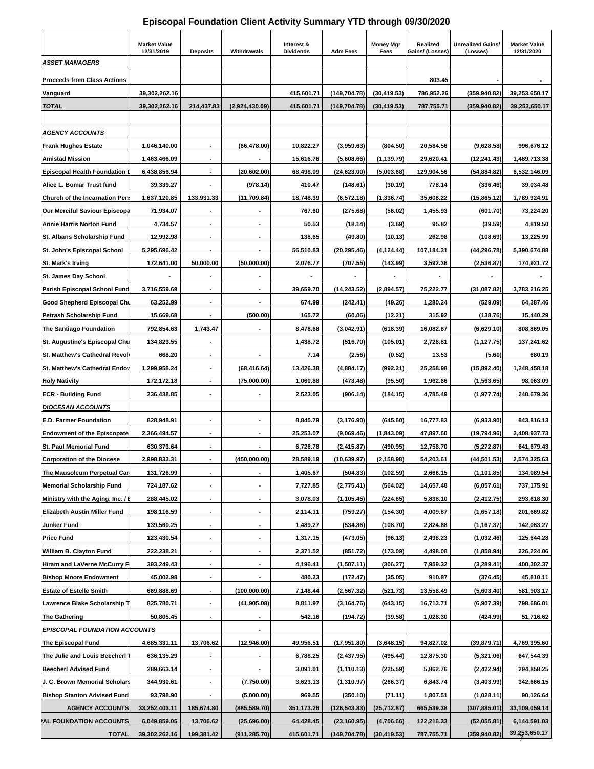### **Episcopal Foundation Client Activity Summary YTD through 09/30/2020**

| <b>ASSET MANAGERS</b>                | <b>Market Value</b><br>12/31/2019 | <b>Deposits</b>              | Withdrawals    | Interest &<br><b>Dividends</b> | <b>Adm Fees</b> | <b>Money Mgr</b><br>Fees | Realized<br>Gains/ (Losses) | <b>Unrealized Gains/</b><br>(Losses) | <b>Market Value</b><br>12/31/2020 |
|--------------------------------------|-----------------------------------|------------------------------|----------------|--------------------------------|-----------------|--------------------------|-----------------------------|--------------------------------------|-----------------------------------|
|                                      |                                   |                              |                |                                |                 |                          |                             |                                      |                                   |
| <b>Proceeds from Class Actions</b>   |                                   |                              |                |                                |                 |                          | 803.45                      |                                      |                                   |
| Vanguard                             | 39,302,262.16                     |                              |                | 415.601.71                     | (149, 704.78)   | (30, 419.53)             | 786.952.26                  | (359, 940.82)                        | 39,253,650.17                     |
| <b>TOTAL</b>                         | 39,302,262.16                     | 214,437.83                   | (2,924,430.09) | 415,601.71                     | (149,704.78)    | (30, 419.53)             | 787,755.71                  | (359, 940.82)                        | 39,253,650.17                     |
| <b>AGENCY ACCOUNTS</b>               |                                   |                              |                |                                |                 |                          |                             |                                      |                                   |
| <b>Frank Hughes Estate</b>           | 1,046,140.00                      | $\blacksquare$               | (66, 478.00)   | 10,822.27                      | (3,959.63)      | (804.50)                 | 20,584.56                   | (9,628.58)                           | 996,676.12                        |
| <b>Amistad Mission</b>               | 1,463,466.09                      |                              |                | 15,616.76                      | (5,608.66)      | (1, 139.79)              | 29,620.41                   | (12, 241.43)                         | 1,489,713.38                      |
| <b>Episcopal Health Foundation</b>   | 6,438,856.94                      |                              | (20, 602.00)   | 68,498.09                      | (24,623.00)     | (5,003.68)               | 129,904.56                  | (54, 884.82)                         | 6,532,146.09                      |
| Alice L. Bomar Trust fund            | 39,339.27                         |                              | (978.14)       | 410.47                         | (148.61)        | (30.19)                  | 778.14                      | (336.46)                             | 39,034.48                         |
| Church of the Incarnation Pen        | 1,637,120.85                      | 133,931.33                   | (11,709.84)    | 18,748.39                      | (6,572.18)      | (1, 336.74)              | 35,608.22                   | (15,865.12)                          | 1,789,924.91                      |
| <b>Our Merciful Saviour Episcopa</b> | 71,934.07                         |                              |                | 767.60                         | (275.68)        | (56.02)                  | 1,455.93                    | (601.70)                             | 73,224.20                         |
| <b>Annie Harris Norton Fund</b>      | 4,734.57                          |                              | $\blacksquare$ | 50.53                          | (18.14)         | (3.69)                   | 95.82                       | (39.59)                              | 4,819.50                          |
| St. Albans Scholarship Fund          | 12,992.98                         |                              |                | 138.65                         | (49.80)         | (10.13)                  | 262.98                      | (108.69)                             | 13,225.99                         |
| St. John's Episcopal School          | 5,295,696.42                      |                              |                | 56,510.83                      | (20, 295.46)    | (4, 124.44)              | 107,184.31                  | (44, 296.78)                         | 5,390,674.88                      |
| <b>St. Mark's Irving</b>             | 172,641.00                        | 50,000.00                    | (50,000.00)    | 2,076.77                       | (707.55)        | (143.99)                 | 3,592.36                    | (2,536.87)                           | 174,921.72                        |
| St. James Day School                 |                                   |                              |                |                                |                 |                          |                             |                                      |                                   |
| <b>Parish Episcopal School Fund</b>  | 3,716,559.69                      |                              |                | 39,659.70                      | (14, 243.52)    | (2,894.57)               | 75,222.77                   | (31,087.82)                          | 3,783,216.25                      |
| Good Shepherd Episcopal Chu          | 63,252.99                         | $\blacksquare$               | $\blacksquare$ | 674.99                         | (242.41)        | (49.26)                  | 1,280.24                    | (529.09)                             | 64,387.46                         |
|                                      |                                   |                              | (500.00)       | 165.72                         |                 |                          |                             |                                      |                                   |
| Petrash Scholarship Fund             | 15,669.68                         |                              |                |                                | (60.06)         | (12.21)                  | 315.92                      | (138.76)                             | 15,440.29                         |
| The Santiago Foundation              | 792,854.63                        | 1,743.47                     |                | 8,478.68                       | (3,042.91)      | (618.39)                 | 16,082.67                   | (6,629.10)                           | 808,869.05                        |
| St. Augustine's Episcopal Chu        | 134,823.55                        |                              |                | 1,438.72                       | (516.70)        | (105.01)                 | 2,728.81                    | (1, 127.75)                          | 137,241.62                        |
| St. Matthew's Cathedral Revol        | 668.20                            | $\blacksquare$               | $\blacksquare$ | 7.14                           | (2.56)          | (0.52)                   | 13.53                       | (5.60)                               | 680.19                            |
| <b>St. Matthew's Cathedral Endoy</b> | 1,299,958.24                      |                              | (68, 416.64)   | 13,426.38                      | (4,884.17)      | (992.21)                 | 25,258.98                   | (15,892.40)                          | 1,248,458.18                      |
| <b>Holy Nativity</b>                 | 172,172.18                        |                              | (75,000.00)    | 1,060.88                       | (473.48)        | (95.50)                  | 1,962.66                    | (1,563.65)                           | 98,063.09                         |
| <b>ECR - Building Fund</b>           | 236,438.85                        |                              |                | 2,523.05                       | (906.14)        | (184.15)                 | 4,785.49                    | (1,977.74)                           | 240,679.36                        |
| <b>DIOCESAN ACCOUNTS</b>             |                                   |                              |                |                                |                 |                          |                             |                                      |                                   |
| <b>E.D. Farmer Foundation</b>        | 828,948.91                        |                              |                | 8,845.79                       | (3, 176.90)     | (645.60)                 | 16,777.83                   | (6,933.90)                           | 843,816.13                        |
| <b>Endowment of the Episcopate</b>   | 2,366,494.57                      | $\blacksquare$               | $\blacksquare$ | 25,253.07                      | (9,069.46)      | (1,843.09)               | 47,897.60                   | (19,794.96)                          | 2,408,937.73                      |
| <b>St. Paul Memorial Fund</b>        | 630,373.64                        |                              |                | 6,726.78                       | (2, 415.87)     | (490.95)                 | 12,758.70                   | (5,272.87)                           | 641,679.43                        |
| <b>Corporation of the Diocese</b>    | 2,998,833.31                      |                              | (450,000.00)   | 28,589.19                      | (10, 639.97)    | (2, 158.98)              | 54,203.61                   | (44, 501.53)                         | 2,574,325.63                      |
| The Mausoleum Perpetual Car          | 131,726.99                        |                              |                | 1,405.67                       | (504.83)        | (102.59)                 | 2,666.15                    | (1, 101.85)                          | 134,089.54                        |
| <b>Memorial Scholarship Fund</b>     | 724,187.62                        | $\blacksquare$               | ۰              | 7,727.85                       | (2,775.41)      | (564.02)                 | 14,657.48                   | (6,057.61)                           | 737,175.91                        |
| Ministry with the Aging, Inc. / I    | 288,445.02                        | $\overline{\phantom{a}}$     |                | 3,078.03                       | (1, 105.45)     | (224.65)                 | 5,838.10                    | (2, 412.75)                          | 293,618.30                        |
| Elizabeth Austin Miller Fund         | 198,116.59                        | ٠                            | ۰              | 2,114.11                       | (759.27)        | (154.30)                 | 4,009.87                    | (1,657.18)                           | 201,669.82                        |
| Junker Fund                          | 139,560.25                        | $\overline{\phantom{a}}$     |                | 1,489.27                       | (534.86)        | (108.70)                 | 2,824.68                    | (1, 167.37)                          | 142,063.27                        |
| <b>Price Fund</b>                    | 123,430.54                        | $\blacksquare$               | ۰              | 1,317.15                       | (473.05)        | (96.13)                  | 2,498.23                    | (1,032.46)                           | 125,644.28                        |
| William B. Clayton Fund              | 222,238.21                        | ٠                            |                | 2,371.52                       | (851.72)        | (173.09)                 | 4,498.08                    | (1,858.94)                           | 226,224.06                        |
| Hiram and LaVerne McCurry F          | 393,249.43                        | $\qquad \qquad \blacksquare$ | ٠              | 4,196.41                       | (1,507.11)      | (306.27)                 | 7,959.32                    | (3,289.41)                           | 400,302.37                        |
| <b>Bishop Moore Endowment</b>        | 45,002.98                         | $\blacksquare$               |                | 480.23                         | (172.47)        | (35.05)                  | 910.87                      | (376.45)                             | 45,810.11                         |
| <b>Estate of Estelle Smith</b>       | 669,888.69                        |                              | (100,000.00)   | 7,148.44                       | (2,567.32)      | (521.73)                 | 13,558.49                   | (5,603.40)                           | 581,903.17                        |
| Lawrence Blake Scholarship T         | 825,780.71                        |                              | (41, 905.08)   | 8,811.97                       | (3, 164.76)     | (643.15)                 | 16,713.71                   | (6,907.39)                           | 798,686.01                        |
| <b>The Gathering</b>                 | 50,805.45                         | $\blacksquare$               |                | 542.16                         | (194.72)        | (39.58)                  | 1,028.30                    | (424.99)                             | 51,716.62                         |
| <b>EPISCOPAL FOUNDATION ACCOUNTS</b> |                                   |                              |                |                                |                 |                          |                             |                                      |                                   |
| The Episcopal Fund                   | 4,685,331.11                      | 13,706.62                    | (12,946.00)    | 49,956.51                      | (17, 951.80)    | (3,648.15)               | 94,827.02                   | (39, 879.71)                         | 4,769,395.60                      |
| The Julie and Louis Beecherl         | 636,135.29                        |                              |                | 6,788.25                       | (2, 437.95)     | (495.44)                 | 12,875.30                   | (5,321.06)                           | 647,544.39                        |
| <b>Beecherl Advised Fund</b>         | 289,663.14                        | ٠                            |                | 3,091.01                       | (1, 110.13)     | (225.59)                 | 5,862.76                    | (2, 422.94)                          | 294,858.25                        |
| J. C. Brown Memorial Scholars        | 344,930.61                        | $\blacksquare$               | (7,750.00)     | 3,623.13                       | (1,310.97)      | (266.37)                 | 6,843.74                    | (3,403.99)                           | 342,666.15                        |
| <b>Bishop Stanton Advised Fund</b>   | 93,798.90                         |                              | (5,000.00)     | 969.55                         | (350.10)        | (71.11)                  | 1,807.51                    | (1,028.11)                           | 90,126.64                         |
| <b>AGENCY ACCOUNTS</b>               | 33,252,403.11                     | 185,674.80                   | (885, 589.70)  | 351,173.26                     | (126, 543.83)   | (25,712.87)              | 665,539.38                  | (307,885.01)                         | 33,109,059.14                     |
| AL FOUNDATION ACCOUNTS               | 6,049,859.05                      | 13,706.62                    | (25,696.00)    | 64,428.45                      | (23, 160.95)    | (4,706.66)               | 122,216.33                  | (52,055.81)                          | 6,144,591.03                      |
| <b>TOTAL</b>                         | 39,302,262.16                     | 199,381.42                   | (911, 285.70)  | 415,601.71                     | (149,704.78)    | (30, 419.53)             | 787,755.71                  | (359, 940.82)                        | 39,253,650.17                     |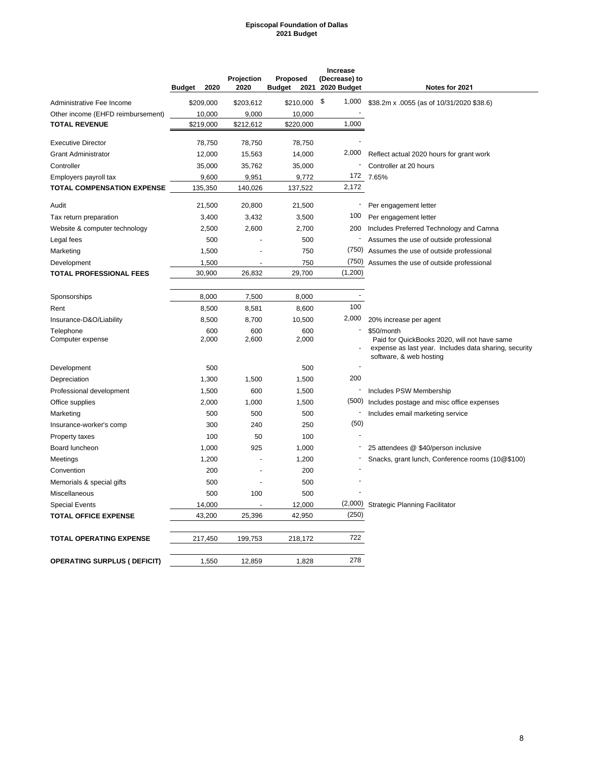#### **Episcopal Foundation of Dallas 2021 Budget**

|                                     | 2020<br><b>Budget</b> | Projection<br>2020 | Proposed<br><b>Budget</b><br>2021 | <b>Increase</b><br>(Decrease) to<br>2020 Budget | Notes for 2021                                                                                                                                 |
|-------------------------------------|-----------------------|--------------------|-----------------------------------|-------------------------------------------------|------------------------------------------------------------------------------------------------------------------------------------------------|
| Administrative Fee Income           | \$209,000             | \$203,612          | \$210,000                         | \$<br>1,000                                     | \$38.2m x .0055 (as of 10/31/2020 \$38.6)                                                                                                      |
| Other income (EHFD reimbursement)   | 10,000                | 9,000              | 10,000                            |                                                 |                                                                                                                                                |
| <b>TOTAL REVENUE</b>                | \$219,000             | \$212,612          | \$220,000                         | 1,000                                           |                                                                                                                                                |
| <b>Executive Director</b>           | 78,750                | 78,750             | 78,750                            |                                                 |                                                                                                                                                |
| <b>Grant Administrator</b>          | 12,000                | 15,563             | 14,000                            | 2,000                                           | Reflect actual 2020 hours for grant work                                                                                                       |
| Controller                          | 35,000                | 35,762             | 35,000                            |                                                 | Controller at 20 hours                                                                                                                         |
| Employers payroll tax               | 9,600                 | 9,951              | 9,772                             | 172                                             | 7.65%                                                                                                                                          |
| <b>TOTAL COMPENSATION EXPENSE</b>   | 135,350               | 140,026            | 137,522                           | 2,172                                           |                                                                                                                                                |
| Audit                               | 21,500                | 20,800             | 21,500                            |                                                 | Per engagement letter                                                                                                                          |
| Tax return preparation              | 3,400                 | 3,432              | 3,500                             | 100                                             | Per engagement letter                                                                                                                          |
| Website & computer technology       | 2,500                 | 2,600              | 2,700                             | 200                                             | Includes Preferred Technology and Camna                                                                                                        |
| Legal fees                          | 500                   |                    | 500                               | -                                               | Assumes the use of outside professional                                                                                                        |
| Marketing                           | 1,500                 |                    | 750                               | (750)                                           | Assumes the use of outside professional                                                                                                        |
| Development                         | 1,500                 |                    | 750                               | (750)                                           | Assumes the use of outside professional                                                                                                        |
| <b>TOTAL PROFESSIONAL FEES</b>      | 30,900                | 26.832             | 29,700                            | (1,200)                                         |                                                                                                                                                |
|                                     |                       |                    |                                   |                                                 |                                                                                                                                                |
| Sponsorships                        | 8,000                 | 7,500              | 8,000                             | 100                                             |                                                                                                                                                |
| Rent                                | 8,500                 | 8,581              | 8,600                             | 2,000                                           |                                                                                                                                                |
| Insurance-D&O/Liability             | 8,500                 | 8,700              | 10,500                            |                                                 | 20% increase per agent                                                                                                                         |
| Telephone<br>Computer expense       | 600<br>2,000          | 600<br>2,600       | 600<br>2,000                      |                                                 | \$50/month<br>Paid for QuickBooks 2020, will not have same<br>expense as last year. Includes data sharing, security<br>software, & web hosting |
| Development                         | 500                   |                    | 500                               |                                                 |                                                                                                                                                |
| Depreciation                        | 1,300                 | 1,500              | 1,500                             | 200                                             |                                                                                                                                                |
| Professional development            | 1,500                 | 600                | 1,500                             |                                                 | Includes PSW Membership                                                                                                                        |
| Office supplies                     | 2,000                 | 1,000              | 1,500                             | (500)                                           | Includes postage and misc office expenses                                                                                                      |
| Marketing                           | 500                   | 500                | 500                               |                                                 | Includes email marketing service                                                                                                               |
| Insurance-worker's comp             | 300                   | 240                | 250                               | (50)                                            |                                                                                                                                                |
| Property taxes                      | 100                   | 50                 | 100                               |                                                 |                                                                                                                                                |
| Board luncheon                      | 1,000                 | 925                | 1,000                             |                                                 | 25 attendees @ \$40/person inclusive                                                                                                           |
| Meetings                            | 1,200                 |                    | 1,200                             |                                                 | Snacks, grant lunch, Conference rooms (10@\$100)                                                                                               |
| Convention                          | 200                   |                    | 200                               |                                                 |                                                                                                                                                |
| Memorials & special gifts           | 500                   |                    | 500                               |                                                 |                                                                                                                                                |
| Miscellaneous                       | 500                   | 100                | 500                               |                                                 |                                                                                                                                                |
| <b>Special Events</b>               | 14,000                |                    | 12,000                            | (2,000)                                         | <b>Strategic Planning Facilitator</b>                                                                                                          |
| <b>TOTAL OFFICE EXPENSE</b>         | 43,200                | 25,396             | 42,950                            | (250)                                           |                                                                                                                                                |
| <b>TOTAL OPERATING EXPENSE</b>      | 217,450               | 199,753            | 218,172                           | 722                                             |                                                                                                                                                |
| <b>OPERATING SURPLUS ( DEFICIT)</b> | 1,550                 | 12,859             | 1,828                             | 278                                             |                                                                                                                                                |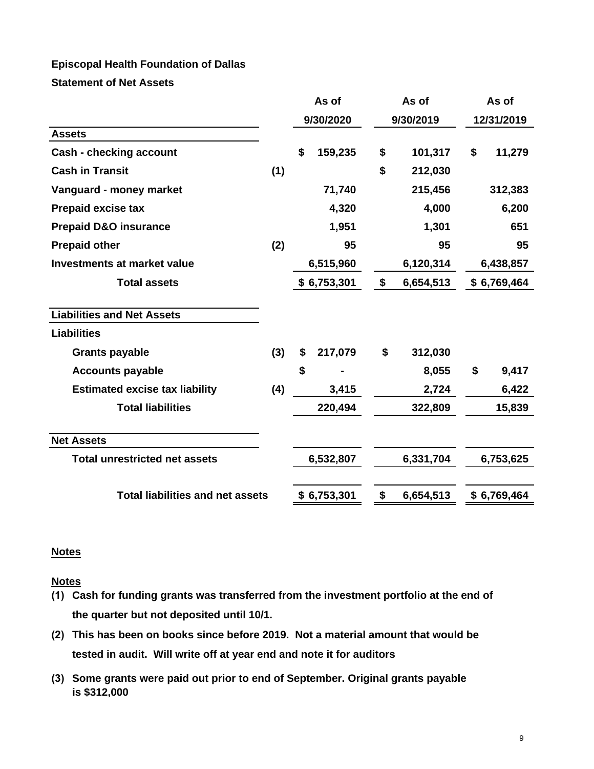# **Episcopal Health Foundation of Dallas**

**Statement of Net Assets**

|                                         |     | As of         | As of           | As of        |
|-----------------------------------------|-----|---------------|-----------------|--------------|
|                                         |     | 9/30/2020     | 9/30/2019       | 12/31/2019   |
| <b>Assets</b>                           |     |               |                 |              |
| <b>Cash - checking account</b>          |     | \$<br>159,235 | \$<br>101,317   | \$<br>11,279 |
| <b>Cash in Transit</b>                  | (1) |               | \$<br>212,030   |              |
| Vanguard - money market                 |     | 71,740        | 215,456         | 312,383      |
| <b>Prepaid excise tax</b>               |     | 4,320         | 4,000           | 6,200        |
| <b>Prepaid D&amp;O insurance</b>        |     | 1,951         | 1,301           | 651          |
| <b>Prepaid other</b>                    | (2) | 95            | 95              | 95           |
| <b>Investments at market value</b>      |     | 6,515,960     | 6,120,314       | 6,438,857    |
| <b>Total assets</b>                     |     | \$6,753,301   | \$<br>6,654,513 | \$6,769,464  |
| <b>Liabilities and Net Assets</b>       |     |               |                 |              |
| <b>Liabilities</b>                      |     |               |                 |              |
| <b>Grants payable</b>                   | (3) | \$<br>217,079 | \$<br>312,030   |              |
| <b>Accounts payable</b>                 |     | \$            | 8,055           | \$<br>9,417  |
| <b>Estimated excise tax liability</b>   | (4) | 3,415         | 2,724           | 6,422        |
| <b>Total liabilities</b>                |     | 220,494       | 322,809         | 15,839       |
| <b>Net Assets</b>                       |     |               |                 |              |
| <b>Total unrestricted net assets</b>    |     | 6,532,807     | 6,331,704       | 6,753,625    |
| <b>Total liabilities and net assets</b> |     | \$6,753,301   | \$<br>6,654,513 | \$6,769,464  |

# **Notes**

**Notes**

- **(1) Cash for funding grants was transferred from the investment portfolio at the end of the quarter but not deposited until 10/1.**
- **(2) This has been on books since before 2019. Not a material amount that would be tested in audit. Will write off at year end and note it for auditors**
- **(3) Some grants were paid out prior to end of September. Original grants payable is \$312,000**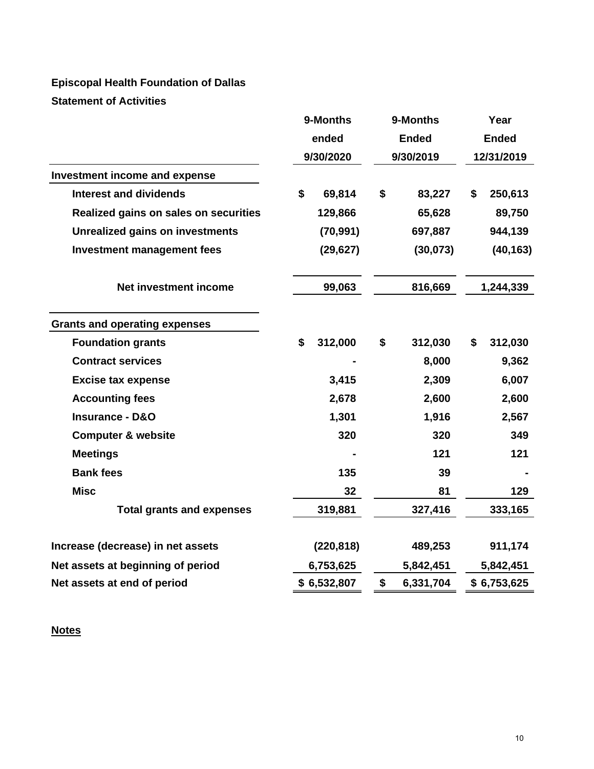# **Episcopal Health Foundation of Dallas Statement of Activities**

|                                        | 9-Months      |    | 9-Months     | Year |              |  |
|----------------------------------------|---------------|----|--------------|------|--------------|--|
|                                        | ended         |    | <b>Ended</b> |      | <b>Ended</b> |  |
|                                        | 9/30/2020     |    | 9/30/2019    |      | 12/31/2019   |  |
| Investment income and expense          |               |    |              |      |              |  |
| <b>Interest and dividends</b>          | \$<br>69,814  | \$ | 83,227       | \$   | 250,613      |  |
| Realized gains on sales on securities  | 129,866       |    | 65,628       |      | 89,750       |  |
| <b>Unrealized gains on investments</b> | (70, 991)     |    | 697,887      |      | 944,139      |  |
| <b>Investment management fees</b>      | (29, 627)     |    | (30,073)     |      | (40, 163)    |  |
| Net investment income                  | 99,063        |    | 816,669      |      | 1,244,339    |  |
| <b>Grants and operating expenses</b>   |               |    |              |      |              |  |
| <b>Foundation grants</b>               | \$<br>312,000 | \$ | 312,030      | \$   | 312,030      |  |
| <b>Contract services</b>               |               |    | 8,000        |      | 9,362        |  |
| <b>Excise tax expense</b>              | 3,415         |    | 2,309        |      | 6,007        |  |
| <b>Accounting fees</b>                 | 2,678         |    | 2,600        |      | 2,600        |  |
| <b>Insurance - D&amp;O</b>             | 1,301         |    | 1,916        |      | 2,567        |  |
| <b>Computer &amp; website</b>          | 320           |    | 320          |      | 349          |  |
| <b>Meetings</b>                        |               |    | 121          |      | 121          |  |
| <b>Bank fees</b>                       | 135           |    | 39           |      |              |  |
| <b>Misc</b>                            | 32            |    | 81           |      | 129          |  |
| <b>Total grants and expenses</b>       | 319,881       |    | 327,416      |      | 333,165      |  |
| Increase (decrease) in net assets      | (220, 818)    |    | 489,253      |      | 911,174      |  |
| Net assets at beginning of period      | 6,753,625     |    | 5,842,451    |      | 5,842,451    |  |
| Net assets at end of period            | \$6,532,807   | \$ | 6,331,704    |      | \$6,753,625  |  |

# **Notes**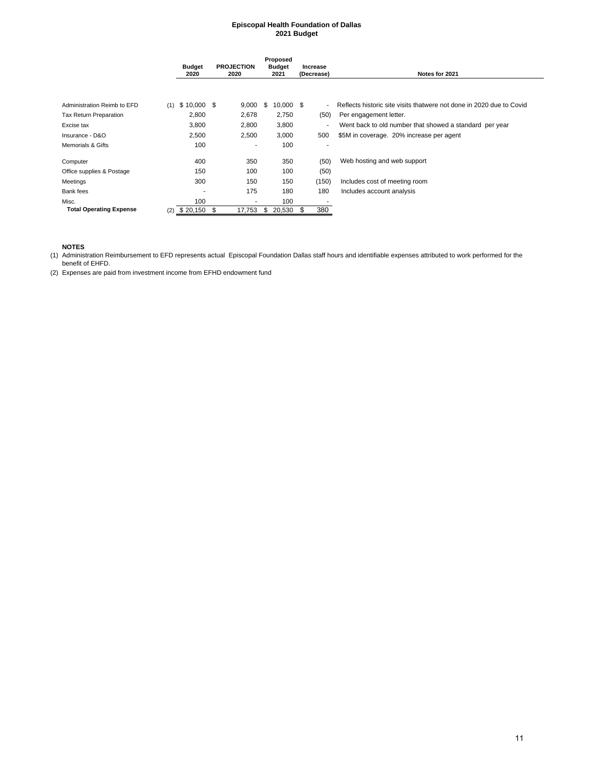#### **Episcopal Health Foundation of Dallas 2021 Budget**

|                                | <b>Budget</b><br>2020 | <b>PROJECTION</b><br>2020 | Proposed<br><b>Budget</b><br>2021 | Increase<br>(Decrease) | Notes for 2021                                                       |
|--------------------------------|-----------------------|---------------------------|-----------------------------------|------------------------|----------------------------------------------------------------------|
| Administration Reimb to EFD    | $$10,000$ \$<br>(1)   | 9,000                     | \$<br>$10,000$ \$                 | ٠                      | Reflects historic site visits thatwere not done in 2020 due to Covid |
| Tax Return Preparation         | 2,800                 | 2,678                     | 2,750                             | (50)                   | Per engagement letter.                                               |
| Excise tax                     | 3,800                 | 2,800                     | 3,800                             | ۰                      | Went back to old number that showed a standard per year              |
| Insurance - D&O                | 2,500                 | 2,500                     | 3,000                             | 500                    | \$5M in coverage. 20% increase per agent                             |
| Memorials & Gifts              | 100                   | ٠                         | 100                               |                        |                                                                      |
| Computer                       | 400                   | 350                       | 350                               | (50)                   | Web hosting and web support                                          |
| Office supplies & Postage      | 150                   | 100                       | 100                               | (50)                   |                                                                      |
| Meetings                       | 300                   | 150                       | 150                               | (150)                  | Includes cost of meeting room                                        |
| Bank fees                      | ٠                     | 175                       | 180                               | 180                    | Includes account analysis                                            |
| Misc.                          | 100                   | $\overline{\phantom{a}}$  | 100                               |                        |                                                                      |
| <b>Total Operating Expense</b> | \$20,150<br>(2)       | - \$<br>17,753            | 20,530<br>\$                      | 380<br>\$              |                                                                      |

#### **NOTES**

(1) Administration Reimbursement to EFD represents actual Episcopal Foundation Dallas staff hours and identifiable expenses attributed to work performed for the benefit of EHFD.

(2) Expenses are paid from investment income from EFHD endowment fund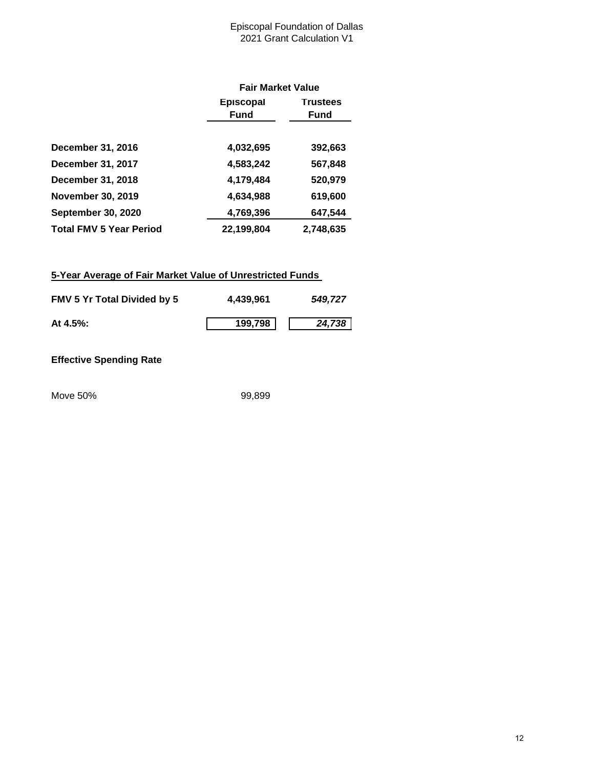### Episcopal Foundation of Dallas 2021 Grant Calculation V1

|                                |                  | <b>Fair Market Value</b> |  |  |  |  |
|--------------------------------|------------------|--------------------------|--|--|--|--|
|                                | <b>Episcopal</b> | <b>Trustees</b>          |  |  |  |  |
|                                | <b>Fund</b>      | Fund                     |  |  |  |  |
|                                |                  |                          |  |  |  |  |
| <b>December 31, 2016</b>       | 4,032,695        | 392,663                  |  |  |  |  |
| December 31, 2017              | 4,583,242        | 567,848                  |  |  |  |  |
| December 31, 2018              | 4,179,484        | 520,979                  |  |  |  |  |
| <b>November 30, 2019</b>       | 4,634,988        | 619,600                  |  |  |  |  |
| <b>September 30, 2020</b>      | 4,769,396        | 647,544                  |  |  |  |  |
| <b>Total FMV 5 Year Period</b> | 22,199,804       | 2,748,635                |  |  |  |  |

## **5-Year Average of Fair Market Value of Unrestricted Funds**

| <b>FMV 5 Yr Total Divided by 5</b> | 4.439.961 | 549,727 |
|------------------------------------|-----------|---------|
| At $4.5\%$ :                       | 199,798   | 24,738  |

## **Effective Spending Rate**

Move 50% 99,899